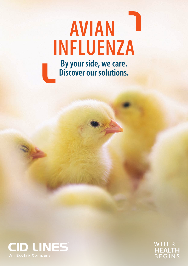# **By your side, we care. Discover our solutions. INFLUENZA AVIAN**



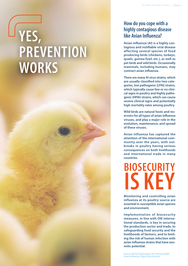# **YES, PREVENTION WORKS**

#### **How do you cope with a highly contagious disease like Avian Influenza?**

**Avian influenza (AI) is a highly contagious and notifiable viral disease affecting several species of food producing birds (chickens, turkeys, quails, guinea fowl, etc.), as well as pet birds and wild birds. Occasionally mammals, including humans, may contract avian influenza.**

**There are many AI virus strains, which are usually classified into two categories, low pathogenic (LPAI) strains, which typically cause few or no clinical signs in poultry and highly pathogenic (HPAI) strains, which can cause severe clinical signs and potentially high mortality rates among poultry.**

**Wild birds are natural hosts and reservoirs for all types of avian influenza viruses, and play a major role in the evolution, maintenance, and spread of these viruses.**

**Avian influenza has captured the attention of the international community over the years, with outbreaks in poultry having serious consequences on both livelihoods and international trade in many countries.**

**BIOSECURITY IS KEY**

**Monitoring and controlling avian influenza at its poultry source are essential in susceptible avian species and environment.**

**Implementation of biosecurity measures, in line with OIE international standards, is key in securing the production sector and trade, to safeguarding food security and the livelihoods of farmers, and to limiting the risk of human infection with avian influenza strains that have zoonotic potential.**

Source: World Organisation for Animal Health. Avian Influenza. https://www.oie.int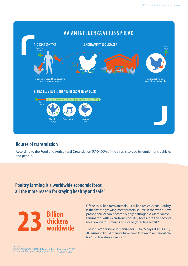

#### **Routes of transmission**

According to the Food and Agricultural Organsiation (FAO) 90% of the virus is spread by equipment, vehicles and people.

#### **Poultry farming is a worldwide economic force: all the more reason for staying healthy and safe!**



Of the 30 billion farm animals, 23 billion are chickens. Poultry is the fastest-growing meat protein source in the world. Low pathogenic AI can become highly pathogenic. Material contaminated with excretions (poultry feces) are the second most dangerous means of spread (after live birds).<sup>(1)</sup>

The virus can survive in manure for 30 to 35 days at 4°C (39°F). AI viruses in liquid manure have been known to remain viable for 105 days during winter.<sup>(2)</sup>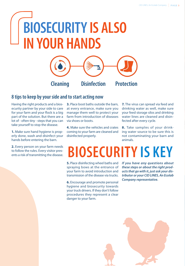# **BIOSECURITY IS ALSO IN YOUR HANDS**



#### **8 tips to keep by your side and to start acting now**

Having the right products and a biosecurity partner by your side to care for your farm and your flock is a big part of the solution. But there are a lot of - often tiny - steps that you can take yourself to stop the disease.

**1.** Make sure hand hygiene is properly done, wash and disinfect your hands before entering the barn.

**2.** Every person on your farm needs to follow the rules. Every visitor presents a risk of transmitting the disease. **3.** Place boot baths outside the barn, at every entrance, make sure you manage them well to protect your farm from introduction of diseases via shoes or boots.

**4.** Make sure the vehicles and crates coming to your farm are cleaned and disinfected properly.

**7.** The virus can spread via feed and drinking water as well, make sure your feed storage silos and drinking water lines are cleaned and disinfected after every cycle.

**8.** Take samples of your drinking water source to be sure this is not contaminating your barn and animals.

## **BIOSECURITY IS KEY**

**5.** Place disinfecting wheel baths and spraying bows at the entrance of your farm to avoid introduction and transmission of the disease via trucks.

**6.** Encourage and promote personal hygiene and biosecurity towards your truck drivers. If they don't follow procedures they represent a clear danger to your farm.

*If you have any questions about these steps or about the right products that go with it, just ask your distributor or your CID LINES, An Ecolab Company representative.*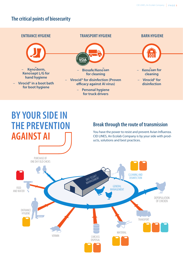#### **The critical points of biosecurity**



## **BY YOUR SIDE IN THE PREVENTION AGAINST AI**

#### **Break through the route of transmission**

You have the power to resist and prevent Avian Influenza. CID LINES, An Ecolab Company is by your side with products, solutions and best practices.

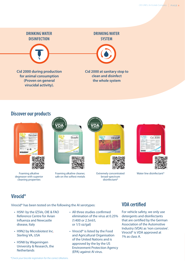**DRINKING WATER DISINFECTION**



**Cid 2000 during production for animal consumption (Proven on general virucidal activity).**

#### **DRINKING WATER SYSTEM**



**Cid 2000 at sanitary stop to clean and disinfect the whole system**

#### **Discover our products**



Foaming alkaline degreaser with superior cleaning properties



Foaming alkaline cleaner, safe on the softest metals



Extremely concentrated broad-spectrum disinfectant\*



Water line disinfectant\*

#### **Virocid®**

Virocid® has been tested on the following the AI serotypes:

- H5N1 by the IZSVe, OIE & FAO Reference Centre for Avian Influenza and Newcastle disease, Italy
- H9N2 by Microbiotest Inc. Sterling VA, USA
- H5N8 by Wageningen University & Research, the **Netherlands**
- All three studies confirmed elimination of the virus at 0.25% (1:400 or 2.5ml/L or 1/3 oz/gal)
- Virocid<sup>®</sup> is listed by the Food and Agricultural Organisation of the United Nations and is approved by the by the US Environment Protection Agency (EPA) against AI virus.

#### **VDA certified**

For vehicle safety, we only use detergents and disinfectants that are certified by the German Association of the Automotive Industry (VDA) as 'non corrosive'. Virocid® is VDA approved at 1% as class A.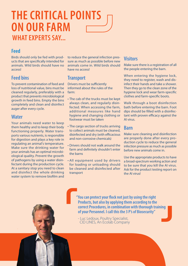## **WHAT EXPERTS SAY... THE CRITICAL POINTS ON OUR FARM**

#### **Feed**

Birds should only be fed with products that are specifically intended for animals. Wild birds should have no access!

#### **Feed bins**

To prevent contamination of feed and loss of nutritional value, bins must be cleaned regularly, preferably with a product that prevents microbiological growth in feed bins. Empty the bins completely and clean and disinfect auger after every cycle.

#### **Water**

Your animals need water to keep them healthy and to keep their body functioning properly. Water transports various nutrients, is responsible for digestion and plays a key role in regulating an animal's temperature. Make sure the drinking water for your animals has an optimal microbiological quality. Prevent the growth of pathogens by using a water disinfectant during the production cycle. At a sanitary stop you need to clean and disinfect the whole drinking water system to remove biofilm and to reduce the general infection pressure as much as possible before new animals come in. Wild birds should have no access!

#### **Transport**

Drivers must be sufficiently informed about the rules of the farm:

- The cab of the trucks must be kept always clean, and regularly disinfected. When accessing the farm, additional measures like hand hygiene and changing clothing or footwear must be taken
- The cargo section of trucks arriving to collect animals must be cleaned, disinfected and dry (with efficacious and non-corrosive chemicals)
- Drivers should not walk around the farm and definitely shouldn't enter the barns
- All equipment used by drivers for loading or unloading should be cleaned and disinfected after transport

#### **Visitors**

Make sure there is a registration of all the people entering the barn.

When entering the hygiene lock, they need to register, wash and disinfect their hands and take a shower. Then they go to the clean zone of the hygiene lock and wear farm-specific clothes and farm-specific boots.

Walk through a boot disinfection bath before entering the barn. Foot dips should be filled with a disinfectant with proven efficacy against the AI virus.

#### **Barn**

Make sure cleaning and disinfection are properly done after every production cycle to reduce the general infection pressure as much as possible before new animals come in.

Use the appropriate products to have a broad-spectrum working action and to be sure that you kill the AI virus. Ask for the product testing report on the AI virus!

**"You can protect your flock not just by using the right Products, but also by applying them according to the correct Procedures, in combination with thorough training of your Personnel. I call this the 3 P's of Biosecurity"**

- Luc Ledoux, Poultry Specialist, CID LINES, An Ecolab Company